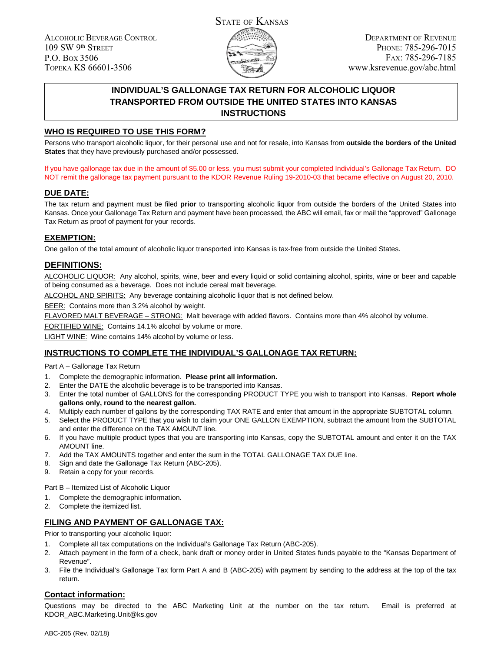ALCOHOLIC BEVERAGE CONTROL 109 SW 9th STREET P.O. BOX 3506 TOPEKA KS 66601-3506



DEPARTMENT OF REVENUE PHONE: 785-296-7015 FAX: 785-296-7185 www.ksrevenue.gov/abc.html

# **INDIVIDUAL'S GALLONAGE TAX RETURN FOR ALCOHOLIC LIQUOR TRANSPORTED FROM OUTSIDE THE UNITED STATES INTO KANSAS INSTRUCTIONS**

### **WHO IS REQUIRED TO USE THIS FORM?**

Persons who transport alcoholic liquor, for their personal use and not for resale, into Kansas from **outside the borders of the United States** that they have previously purchased and/or possessed.

If you have gallonage tax due in the amount of \$5.00 or less, you must submit your completed Individual's Gallonage Tax Return. DO NOT remit the gallonage tax payment pursuant to the KDOR Revenue Ruling 19-2010-03 that became effective on August 20, 2010.

### **DUE DATE:**

The tax return and payment must be filed **prior** to transporting alcoholic liquor from outside the borders of the United States into Kansas. Once your Gallonage Tax Return and payment have been processed, the ABC will email, fax or mail the "approved" Gallonage Tax Return as proof of payment for your records.

### **EXEMPTION:**

One gallon of the total amount of alcoholic liquor transported into Kansas is tax-free from outside the United States.

## **DEFINITIONS:**

ALCOHOLIC LIQUOR: Any alcohol, spirits, wine, beer and every liquid or solid containing alcohol, spirits, wine or beer and capable of being consumed as a beverage. Does not include cereal malt beverage.

ALCOHOL AND SPIRITS: Any beverage containing alcoholic liquor that is not defined below.

BEER: Contains more than 3.2% alcohol by weight.

FLAVORED MALT BEVERAGE – STRONG: Malt beverage with added flavors. Contains more than 4% alcohol by volume.

FORTIFIED WINE: Contains 14.1% alcohol by volume or more.

LIGHT WINE: Wine contains 14% alcohol by volume or less.

#### **INSTRUCTIONS TO COMPLETE THE INDIVIDUAL'S GALLONAGE TAX RETURN:**

Part A – Gallonage Tax Return

- 1. Complete the demographic information. **Please print all information.**
- 2. Enter the DATE the alcoholic beverage is to be transported into Kansas.
- 3. Enter the total number of GALLONS for the corresponding PRODUCT TYPE you wish to transport into Kansas. **Report whole gallons only, round to the nearest gallon.**
- 4. Multiply each number of gallons by the corresponding TAX RATE and enter that amount in the appropriate SUBTOTAL column.
- 5. Select the PRODUCT TYPE that you wish to claim your ONE GALLON EXEMPTION, subtract the amount from the SUBTOTAL and enter the difference on the TAX AMOUNT line.
- 6. If you have multiple product types that you are transporting into Kansas, copy the SUBTOTAL amount and enter it on the TAX AMOUNT line.
- 7. Add the TAX AMOUNTS together and enter the sum in the TOTAL GALLONAGE TAX DUE line.
- 8. Sign and date the Gallonage Tax Return (ABC-205).
- 9. Retain a copy for your records.
- Part B Itemized List of Alcoholic Liquor
- 1. Complete the demographic information.
- 2. Complete the itemized list.

#### **FILING AND PAYMENT OF GALLONAGE TAX:**

Prior to transporting your alcoholic liquor:

- 1. Complete all tax computations on the Individual's Gallonage Tax Return (ABC-205).
- 2. Attach payment in the form of a check, bank draft or money order in United States funds payable to the "Kansas Department of Revenue".
- 3. File the Individual's Gallonage Tax form Part A and B (ABC-205) with payment by sending to the address at the top of the tax return.

#### **Contact information:**

Questions may be directed to the ABC Marketing Unit at the number on the tax return. Email is preferred at KDOR\_ABC.Marketing.Unit@ks.gov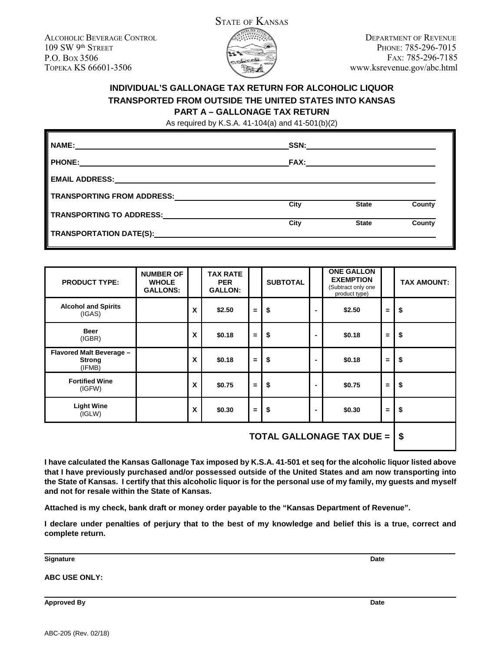ALCOHOLIC BEVERAGE CONTROL 109 SW 9th STREET P.O. BOX 3506 TOPEKA KS 66601-3506



DEPARTMENT OF REVENUE PHONE: 785-296-7015 FAX: 785-296-7185 www.ksrevenue.gov/abc.html

# **INDIVIDUAL'S GALLONAGE TAX RETURN FOR ALCOHOLIC LIQUOR TRANSPORTED FROM OUTSIDE THE UNITED STATES INTO KANSAS PART A – GALLONAGE TAX RETURN**

As required by K.S.A. 41-104(a) and 41-501(b)(2)

| <b>NAME:</b>                                 | SSN:        |              |        |
|----------------------------------------------|-------------|--------------|--------|
| <b>PHONE:</b>                                | <b>FAX:</b> |              |        |
| <b>EMAIL ADDRESS:</b>                        |             |              |        |
| <b>TRANSPORTING FROM ADDRESS:</b>            |             |              |        |
| TRANSPORTING TO ADDRESS:                     | City        | <b>State</b> | County |
|                                              | City        | <b>State</b> | County |
| TRANSPORTATION DATE(S): TRANSPORTATION DATE: |             |              |        |

| <b>PRODUCT TYPE:</b>                                | <b>NUMBER OF</b><br><b>WHOLE</b><br><b>GALLONS:</b> |   | <b>TAX RATE</b><br><b>PER</b><br><b>GALLON:</b> |     | <b>SUBTOTAL</b> |                | <b>ONE GALLON</b><br><b>EXEMPTION</b><br>(Subtract only one<br>product type) |          | <b>TAX AMOUNT:</b> |
|-----------------------------------------------------|-----------------------------------------------------|---|-------------------------------------------------|-----|-----------------|----------------|------------------------------------------------------------------------------|----------|--------------------|
| <b>Alcohol and Spirits</b><br>(IGAS)                |                                                     | X | \$2.50                                          | $=$ | \$              | $\blacksquare$ | \$2.50                                                                       | $=$      | \$                 |
| <b>Beer</b><br>(IGBR)                               |                                                     | X | \$0.18                                          | $=$ | \$              | ۰              | \$0.18                                                                       | $=$      | \$                 |
| Flavored Malt Beverage -<br><b>Strong</b><br>(IFMB) |                                                     | X | \$0.18                                          | $=$ | \$              | ٠              | \$0.18                                                                       | $\equiv$ | \$                 |
| <b>Fortified Wine</b><br>(IGFW)                     |                                                     | X | \$0.75                                          | Ξ.  | \$              | ۰              | \$0.75                                                                       | $=$      | \$                 |
| <b>Light Wine</b><br>(IGLW)                         |                                                     | X | \$0.30                                          | $=$ | \$              | $\blacksquare$ | \$0.30                                                                       | $=$      | \$                 |
| TOTAL CALLONACE TAV DUE                             |                                                     |   |                                                 |     |                 |                |                                                                              | ¢        |                    |

**TOTAL GALLONAGE TAX DUE = \$**

**I have calculated the Kansas Gallonage Tax imposed by K.S.A. 41-501 et seq for the alcoholic liquor listed above that I have previously purchased and/or possessed outside of the United States and am now transporting into the State of Kansas. I certify that this alcoholic liquor is for the personal use of my family, my guests and myself and not for resale within the State of Kansas.**

**Attached is my check, bank draft or money order payable to the "Kansas Department of Revenue".**

**I declare under penalties of perjury that to the best of my knowledge and belief this is a true, correct and complete return.**

**Signature Date**

**ABC USE ONLY:**

**Approved By Date**